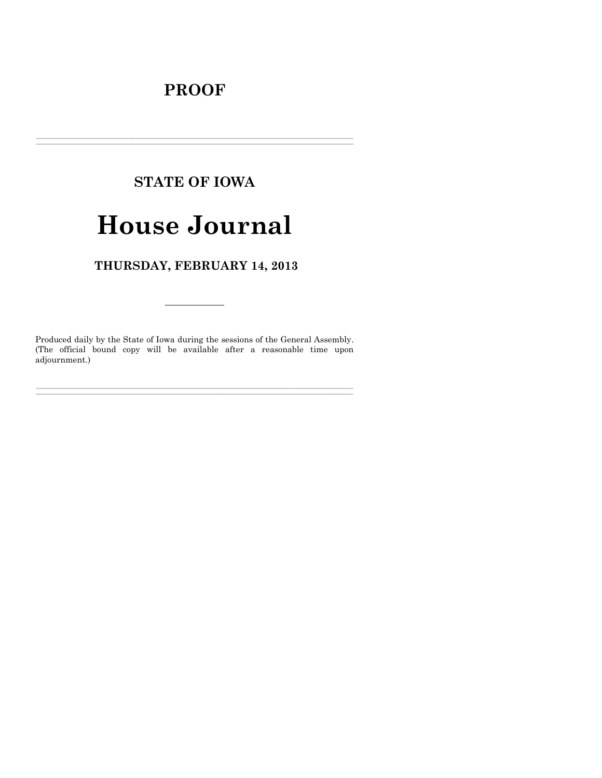# **PROOF**

# **STATE OF IOWA**

# **House Journal**

# THURSDAY, FEBRUARY 14, 2013

Produced daily by the State of Iowa during the sessions of the General Assembly. (The official bound copy will be available after a reasonable time upon adjournment.)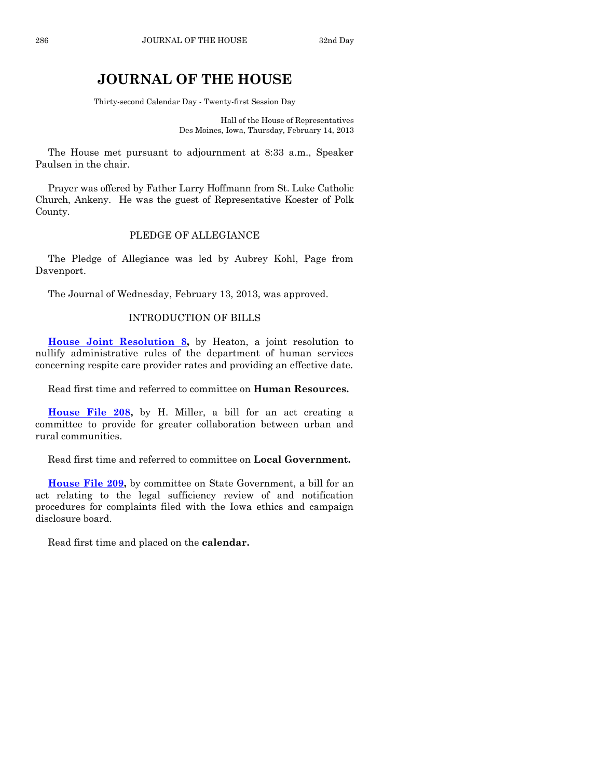# **JOURNAL OF THE HOUSE**

Thirty-second Calendar Day - Twenty-first Session Day

Hall of the House of Representatives Des Moines, Iowa, Thursday, February 14, 2013

The House met pursuant to adjournment at 8:33 a.m., Speaker Paulsen in the chair.

Prayer was offered by Father Larry Hoffmann from St. Luke Catholic Church, Ankeny. He was the guest of Representative Koester of Polk County.

## PLEDGE OF ALLEGIANCE

The Pledge of Allegiance was led by Aubrey Kohl, Page from Davenport.

The Journal of Wednesday, February 13, 2013, was approved.

## INTRODUCTION OF BILLS

**[House Joint Resolution 8,](http://coolice.legis.state.ia.us/Cool-ICE/default.asp?Category=billinfo&Service=Billbook&frame=1&GA=85&hbill=HJR8)** by Heaton, a joint resolution to nullify administrative rules of the department of human services concerning respite care provider rates and providing an effective date.

Read first time and referred to committee on **Human Resources.**

**[House File 208,](http://coolice.legis.state.ia.us/Cool-ICE/default.asp?Category=billinfo&Service=Billbook&frame=1&GA=85&hbill=HF208)** by H. Miller, a bill for an act creating a committee to provide for greater collaboration between urban and rural communities.

Read first time and referred to committee on **Local Government.**

**[House File 209,](http://coolice.legis.state.ia.us/Cool-ICE/default.asp?Category=billinfo&Service=Billbook&frame=1&GA=85&hbill=HF209)** by committee on State Government, a bill for an act relating to the legal sufficiency review of and notification procedures for complaints filed with the Iowa ethics and campaign disclosure board.

Read first time and placed on the **calendar.**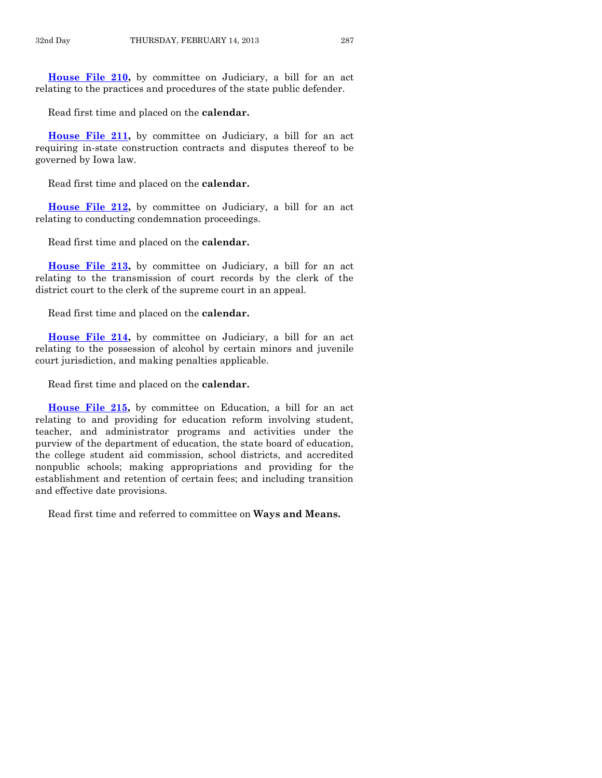**[House File 210,](http://coolice.legis.state.ia.us/Cool-ICE/default.asp?Category=billinfo&Service=Billbook&frame=1&GA=85&hbill=HF210)** by committee on Judiciary, a bill for an act relating to the practices and procedures of the state public defender.

Read first time and placed on the **calendar.**

**[House File 211,](http://coolice.legis.state.ia.us/Cool-ICE/default.asp?Category=billinfo&Service=Billbook&frame=1&GA=85&hbill=HF211)** by committee on Judiciary, a bill for an act requiring in-state construction contracts and disputes thereof to be governed by Iowa law.

Read first time and placed on the **calendar.**

**[House File 212,](http://coolice.legis.state.ia.us/Cool-ICE/default.asp?Category=billinfo&Service=Billbook&frame=1&GA=85&hbill=HF212)** by committee on Judiciary, a bill for an act relating to conducting condemnation proceedings.

Read first time and placed on the **calendar.**

**[House File 213,](http://coolice.legis.state.ia.us/Cool-ICE/default.asp?Category=billinfo&Service=Billbook&frame=1&GA=85&hbill=HF213)** by committee on Judiciary, a bill for an act relating to the transmission of court records by the clerk of the district court to the clerk of the supreme court in an appeal.

Read first time and placed on the **calendar.**

**[House File 214,](http://coolice.legis.state.ia.us/Cool-ICE/default.asp?Category=billinfo&Service=Billbook&frame=1&GA=85&hbill=HF214)** by committee on Judiciary, a bill for an act relating to the possession of alcohol by certain minors and juvenile court jurisdiction, and making penalties applicable.

Read first time and placed on the **calendar.**

**[House File 215,](http://coolice.legis.state.ia.us/Cool-ICE/default.asp?Category=billinfo&Service=Billbook&frame=1&GA=85&hbill=HF215)** by committee on Education, a bill for an act relating to and providing for education reform involving student, teacher, and administrator programs and activities under the purview of the department of education, the state board of education, the college student aid commission, school districts, and accredited nonpublic schools; making appropriations and providing for the establishment and retention of certain fees; and including transition and effective date provisions.

Read first time and referred to committee on **Ways and Means.**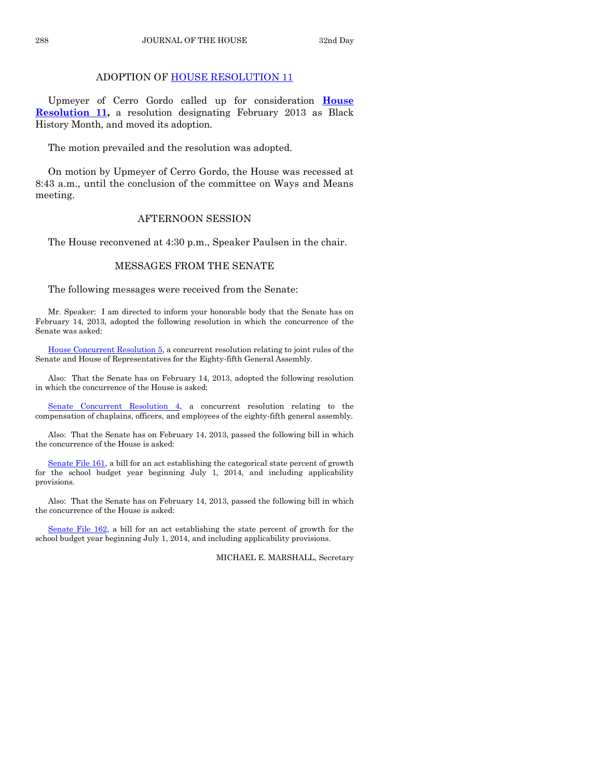# ADOPTION OF [HOUSE RESOLUTION 11](http://coolice.legis.state.ia.us/Cool-ICE/default.asp?Category=billinfo&Service=Billbook&frame=1&GA=85&hbill=HR11)

Upmeyer of Cerro Gordo called up for consideration **[House](http://coolice.legis.state.ia.us/Cool-ICE/default.asp?Category=billinfo&Service=Billbook&frame=1&GA=85&hbill=HR11)  [Resolution 11,](http://coolice.legis.state.ia.us/Cool-ICE/default.asp?Category=billinfo&Service=Billbook&frame=1&GA=85&hbill=HR11)** a resolution designating February 2013 as Black History Month, and moved its adoption.

The motion prevailed and the resolution was adopted.

On motion by Upmeyer of Cerro Gordo, the House was recessed at 8:43 a.m., until the conclusion of the committee on Ways and Means meeting.

## AFTERNOON SESSION

The House reconvened at 4:30 p.m., Speaker Paulsen in the chair.

## MESSAGES FROM THE SENATE

The following messages were received from the Senate:

Mr. Speaker: I am directed to inform your honorable body that the Senate has on February 14, 2013, adopted the following resolution in which the concurrence of the Senate was asked:

[House Concurrent Resolution 5,](http://coolice.legis.state.ia.us/Cool-ICE/default.asp?Category=billinfo&Service=Billbook&frame=1&GA=85&hbill=HCR5) a concurrent resolution relating to joint rules of the Senate and House of Representatives for the Eighty-fifth General Assembly.

Also: That the Senate has on February 14, 2013, adopted the following resolution in which the concurrence of the House is asked:

[Senate Concurrent Resolution 4,](http://coolice.legis.state.ia.us/Cool-ICE/default.asp?Category=billinfo&Service=Billbook&frame=1&GA=85&hbill=SCR4) a concurrent resolution relating to the compensation of chaplains, officers, and employees of the eighty-fifth general assembly.

Also: That the Senate has on February 14, 2013, passed the following bill in which the concurrence of the House is asked:

[Senate File 161,](http://coolice.legis.state.ia.us/Cool-ICE/default.asp?Category=billinfo&Service=Billbook&frame=1&GA=85&hbill=SF161) a bill for an act establishing the categorical state percent of growth for the school budget year beginning July 1, 2014, and including applicability provisions.

Also: That the Senate has on February 14, 2013, passed the following bill in which the concurrence of the House is asked:

[Senate File 162,](http://coolice.legis.state.ia.us/Cool-ICE/default.asp?Category=billinfo&Service=Billbook&frame=1&GA=85&hbill=SF162) a bill for an act establishing the state percent of growth for the school budget year beginning July 1, 2014, and including applicability provisions.

MICHAEL E. MARSHALL, Secretary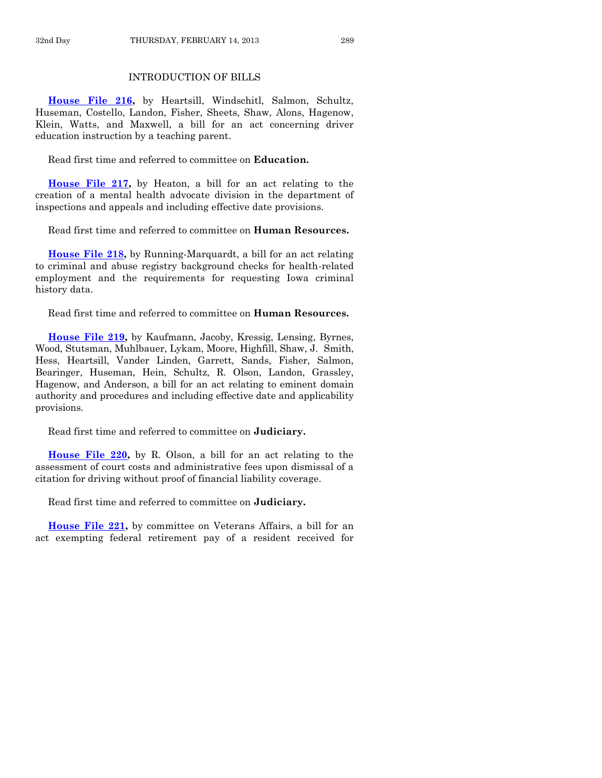# INTRODUCTION OF BILLS

**[House File 216,](http://coolice.legis.state.ia.us/Cool-ICE/default.asp?Category=billinfo&Service=Billbook&frame=1&GA=85&hbill=HF216)** by Heartsill, Windschitl, Salmon, Schultz, Huseman, Costello, Landon, Fisher, Sheets, Shaw, Alons, Hagenow, Klein, Watts, and Maxwell, a bill for an act concerning driver education instruction by a teaching parent.

Read first time and referred to committee on **Education.**

**[House File 217,](http://coolice.legis.state.ia.us/Cool-ICE/default.asp?Category=billinfo&Service=Billbook&frame=1&GA=85&hbill=HF217)** by Heaton, a bill for an act relating to the creation of a mental health advocate division in the department of inspections and appeals and including effective date provisions.

Read first time and referred to committee on **Human Resources.**

**[House File 218,](http://coolice.legis.state.ia.us/Cool-ICE/default.asp?Category=billinfo&Service=Billbook&frame=1&GA=85&hbill=HF218)** by Running-Marquardt, a bill for an act relating to criminal and abuse registry background checks for health-related employment and the requirements for requesting Iowa criminal history data.

Read first time and referred to committee on **Human Resources.**

**[House File 219,](http://coolice.legis.state.ia.us/Cool-ICE/default.asp?Category=billinfo&Service=Billbook&frame=1&GA=85&hbill=HF219)** by Kaufmann, Jacoby, Kressig, Lensing, Byrnes, Wood, Stutsman, Muhlbauer, Lykam, Moore, Highfill, Shaw, J. Smith, Hess, Heartsill, Vander Linden, Garrett, Sands, Fisher, Salmon, Bearinger, Huseman, Hein, Schultz, R. Olson, Landon, Grassley, Hagenow, and Anderson, a bill for an act relating to eminent domain authority and procedures and including effective date and applicability provisions.

Read first time and referred to committee on **Judiciary.**

**[House File 220,](http://coolice.legis.state.ia.us/Cool-ICE/default.asp?Category=billinfo&Service=Billbook&frame=1&GA=85&hbill=HF220)** by R. Olson, a bill for an act relating to the assessment of court costs and administrative fees upon dismissal of a citation for driving without proof of financial liability coverage.

Read first time and referred to committee on **Judiciary.**

**[House File 221,](http://coolice.legis.state.ia.us/Cool-ICE/default.asp?Category=billinfo&Service=Billbook&frame=1&GA=85&hbill=HF221)** by committee on Veterans Affairs, a bill for an act exempting federal retirement pay of a resident received for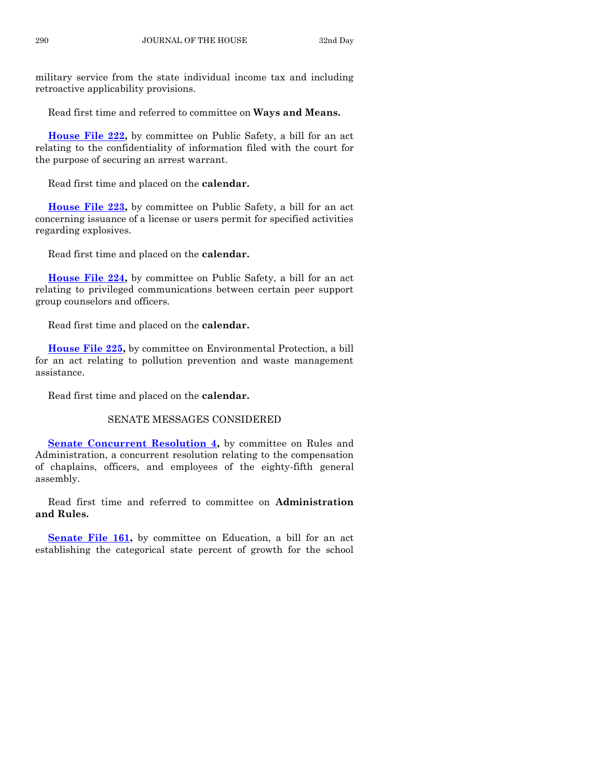military service from the state individual income tax and including retroactive applicability provisions.

Read first time and referred to committee on **Ways and Means.**

**[House File 222,](http://coolice.legis.state.ia.us/Cool-ICE/default.asp?Category=billinfo&Service=Billbook&frame=1&GA=85&hbill=HF222)** by committee on Public Safety, a bill for an act relating to the confidentiality of information filed with the court for the purpose of securing an arrest warrant.

Read first time and placed on the **calendar.**

**[House File 223,](http://coolice.legis.state.ia.us/Cool-ICE/default.asp?Category=billinfo&Service=Billbook&frame=1&GA=85&hbill=HF223)** by committee on Public Safety, a bill for an act concerning issuance of a license or users permit for specified activities regarding explosives.

Read first time and placed on the **calendar.**

**[House File 224,](http://coolice.legis.state.ia.us/Cool-ICE/default.asp?Category=billinfo&Service=Billbook&frame=1&GA=85&hbill=HF224)** by committee on Public Safety, a bill for an act relating to privileged communications between certain peer support group counselors and officers.

Read first time and placed on the **calendar.**

**[House File 225,](http://coolice.legis.state.ia.us/Cool-ICE/default.asp?Category=billinfo&Service=Billbook&frame=1&GA=85&hbill=HF225)** by committee on Environmental Protection, a bill for an act relating to pollution prevention and waste management assistance.

Read first time and placed on the **calendar.**

## SENATE MESSAGES CONSIDERED

**[Senate Concurrent Resolution 4,](http://coolice.legis.state.ia.us/Cool-ICE/default.asp?Category=billinfo&Service=Billbook&frame=1&GA=85&hbill=SCR4)** by committee on Rules and Administration, a concurrent resolution relating to the compensation of chaplains, officers, and employees of the eighty-fifth general assembly.

Read first time and referred to committee on **Administration and Rules.**

**[Senate File 161,](http://coolice.legis.state.ia.us/Cool-ICE/default.asp?Category=billinfo&Service=Billbook&frame=1&GA=85&hbill=SF161)** by committee on Education, a bill for an act establishing the categorical state percent of growth for the school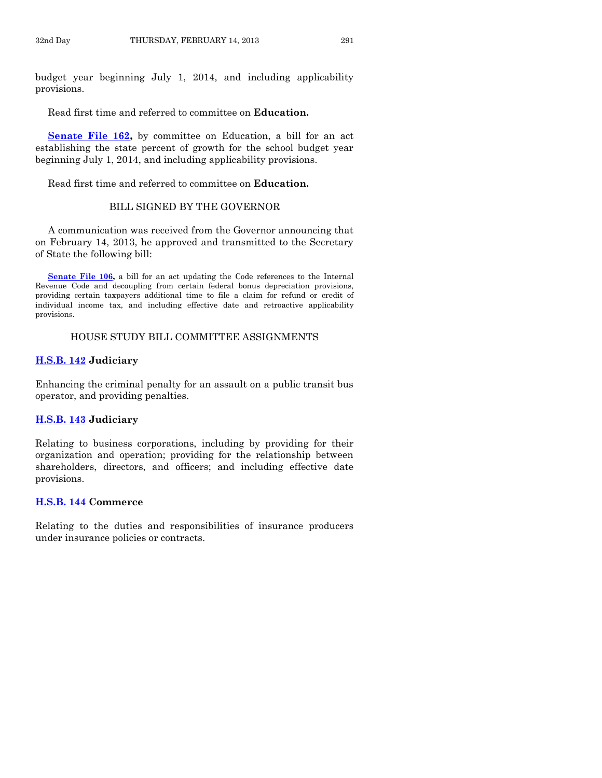budget year beginning July 1, 2014, and including applicability provisions.

Read first time and referred to committee on **Education.**

**[Senate File 162,](http://coolice.legis.state.ia.us/Cool-ICE/default.asp?Category=billinfo&Service=Billbook&frame=1&GA=85&hbill=SF162)** by committee on Education, a bill for an act establishing the state percent of growth for the school budget year beginning July 1, 2014, and including applicability provisions.

Read first time and referred to committee on **Education.**

## BILL SIGNED BY THE GOVERNOR

A communication was received from the Governor announcing that on February 14, 2013, he approved and transmitted to the Secretary of State the following bill:

**[Senate File 106,](http://coolice.legis.state.ia.us/Cool-ICE/default.asp?Category=billinfo&Service=Billbook&frame=1&GA=85&hbill=SF106)** a bill for an act updating the Code references to the Internal Revenue Code and decoupling from certain federal bonus depreciation provisions, providing certain taxpayers additional time to file a claim for refund or credit of individual income tax, and including effective date and retroactive applicability provisions.

#### HOUSE STUDY BILL COMMITTEE ASSIGNMENTS

#### **[H.S.B. 142](http://coolice.legis.state.ia.us/Cool-ICE/default.asp?Category=billinfo&Service=Billbook&frame=1&GA=85&hbill=HSB142) Judiciary**

Enhancing the criminal penalty for an assault on a public transit bus operator, and providing penalties.

#### **[H.S.B. 143](http://coolice.legis.state.ia.us/Cool-ICE/default.asp?Category=billinfo&Service=Billbook&frame=1&GA=85&hbill=HSB143) Judiciary**

Relating to business corporations, including by providing for their organization and operation; providing for the relationship between shareholders, directors, and officers; and including effective date provisions.

#### **[H.S.B. 144](http://coolice.legis.state.ia.us/Cool-ICE/default.asp?Category=billinfo&Service=Billbook&frame=1&GA=85&hbill=HSB144) Commerce**

Relating to the duties and responsibilities of insurance producers under insurance policies or contracts.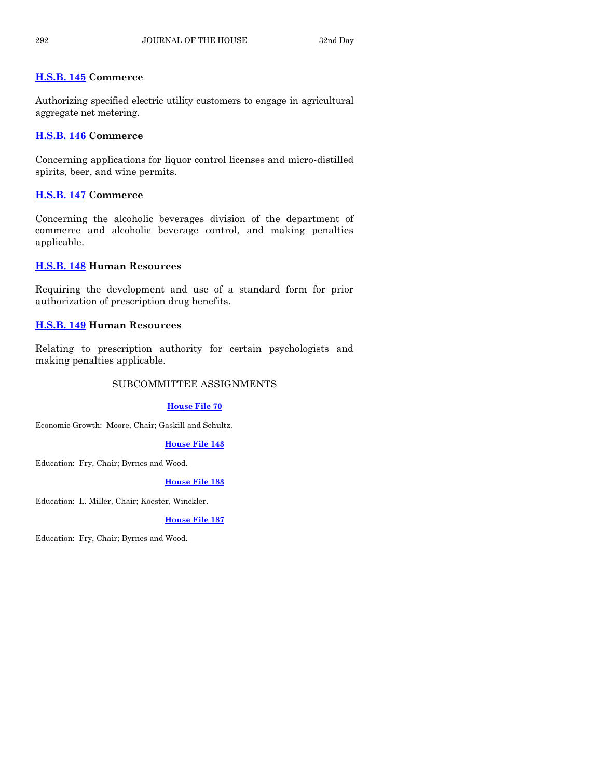# **[H.S.B. 145](http://coolice.legis.state.ia.us/Cool-ICE/default.asp?Category=billinfo&Service=Billbook&frame=1&GA=85&hbill=HSB145) Commerce**

Authorizing specified electric utility customers to engage in agricultural aggregate net metering.

# **[H.S.B. 146](http://coolice.legis.state.ia.us/Cool-ICE/default.asp?Category=billinfo&Service=Billbook&frame=1&GA=85&hbill=HSB146) Commerce**

Concerning applications for liquor control licenses and micro-distilled spirits, beer, and wine permits.

# **[H.S.B. 147](http://coolice.legis.state.ia.us/Cool-ICE/default.asp?Category=billinfo&Service=Billbook&frame=1&GA=85&hbill=HSB147) Commerce**

Concerning the alcoholic beverages division of the department of commerce and alcoholic beverage control, and making penalties applicable.

# **[H.S.B. 148](http://coolice.legis.state.ia.us/Cool-ICE/default.asp?Category=billinfo&Service=Billbook&frame=1&GA=85&hbill=HSB148) Human Resources**

Requiring the development and use of a standard form for prior authorization of prescription drug benefits.

# **[H.S.B. 149](http://coolice.legis.state.ia.us/Cool-ICE/default.asp?Category=billinfo&Service=Billbook&frame=1&GA=85&hbill=HSB149) Human Resources**

Relating to prescription authority for certain psychologists and making penalties applicable.

# SUBCOMMITTEE ASSIGNMENTS

# **[House File 70](http://coolice.legis.state.ia.us/Cool-ICE/default.asp?Category=billinfo&Service=Billbook&frame=1&GA=85&hbill=HF70)**

Economic Growth: Moore, Chair; Gaskill and Schultz.

# **[House File 143](http://coolice.legis.state.ia.us/Cool-ICE/default.asp?Category=billinfo&Service=Billbook&frame=1&GA=85&hbill=HF143)**

Education: Fry, Chair; Byrnes and Wood.

# **[House File 183](http://coolice.legis.state.ia.us/Cool-ICE/default.asp?Category=billinfo&Service=Billbook&frame=1&GA=85&hbill=HF183)**

Education: L. Miller, Chair; Koester, Winckler.

# **[House File 187](http://coolice.legis.state.ia.us/Cool-ICE/default.asp?Category=billinfo&Service=Billbook&frame=1&GA=85&hbill=HF187)**

Education: Fry, Chair; Byrnes and Wood.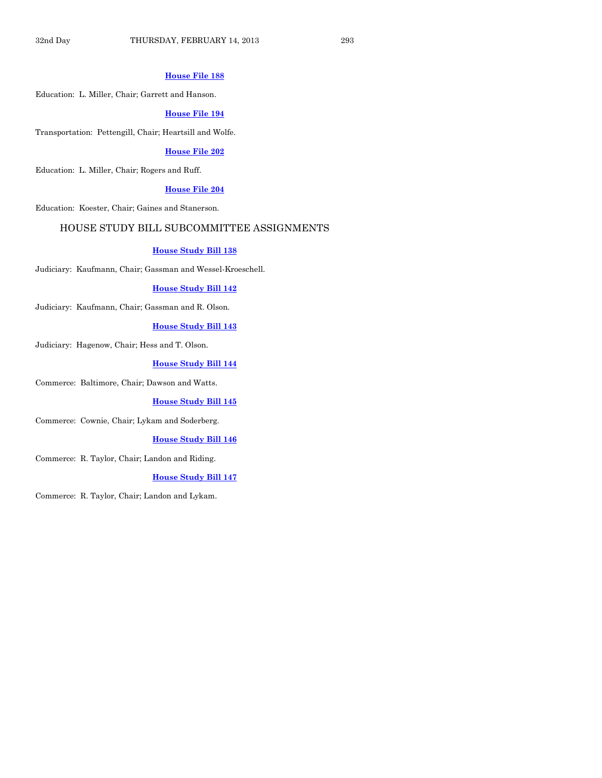#### **[House File 188](http://coolice.legis.state.ia.us/Cool-ICE/default.asp?Category=billinfo&Service=Billbook&frame=1&GA=85&hbill=HF188)**

Education: L. Miller, Chair; Garrett and Hanson.

#### **[House File 194](http://coolice.legis.state.ia.us/Cool-ICE/default.asp?Category=billinfo&Service=Billbook&frame=1&GA=85&hbill=HF194)**

Transportation: Pettengill, Chair; Heartsill and Wolfe.

## **[House File 202](http://coolice.legis.state.ia.us/Cool-ICE/default.asp?Category=billinfo&Service=Billbook&frame=1&GA=85&hbill=HF202)**

Education: L. Miller, Chair; Rogers and Ruff.

#### **[House File 204](http://coolice.legis.state.ia.us/Cool-ICE/default.asp?Category=billinfo&Service=Billbook&frame=1&GA=85&hbill=HF204)**

Education: Koester, Chair; Gaines and Stanerson.

## HOUSE STUDY BILL SUBCOMMITTEE ASSIGNMENTS

#### **[House Study Bill 138](http://coolice.legis.state.ia.us/Cool-ICE/default.asp?Category=billinfo&Service=Billbook&frame=1&GA=85&hbill=HSB138)**

Judiciary: Kaufmann, Chair; Gassman and Wessel-Kroeschell.

#### **[House Study Bill 142](http://coolice.legis.state.ia.us/Cool-ICE/default.asp?Category=billinfo&Service=Billbook&frame=1&GA=85&hbill=HSB142)**

Judiciary: Kaufmann, Chair; Gassman and R. Olson.

#### **[House Study Bill 143](http://coolice.legis.state.ia.us/Cool-ICE/default.asp?Category=billinfo&Service=Billbook&frame=1&GA=85&hbill=HSB143)**

Judiciary: Hagenow, Chair; Hess and T. Olson.

#### **[House Study Bill 144](http://coolice.legis.state.ia.us/Cool-ICE/default.asp?Category=billinfo&Service=Billbook&frame=1&GA=85&hbill=HSB144)**

Commerce: Baltimore, Chair; Dawson and Watts.

#### **[House Study Bill 145](http://coolice.legis.state.ia.us/Cool-ICE/default.asp?Category=billinfo&Service=Billbook&frame=1&GA=85&hbill=HSB145)**

Commerce: Cownie, Chair; Lykam and Soderberg.

#### **[House Study Bill 146](http://coolice.legis.state.ia.us/Cool-ICE/default.asp?Category=billinfo&Service=Billbook&frame=1&GA=85&hbill=HSB146)**

Commerce: R. Taylor, Chair; Landon and Riding.

#### **[House Study Bill 147](http://coolice.legis.state.ia.us/Cool-ICE/default.asp?Category=billinfo&Service=Billbook&frame=1&GA=85&hbill=HSB147)**

Commerce: R. Taylor, Chair; Landon and Lykam.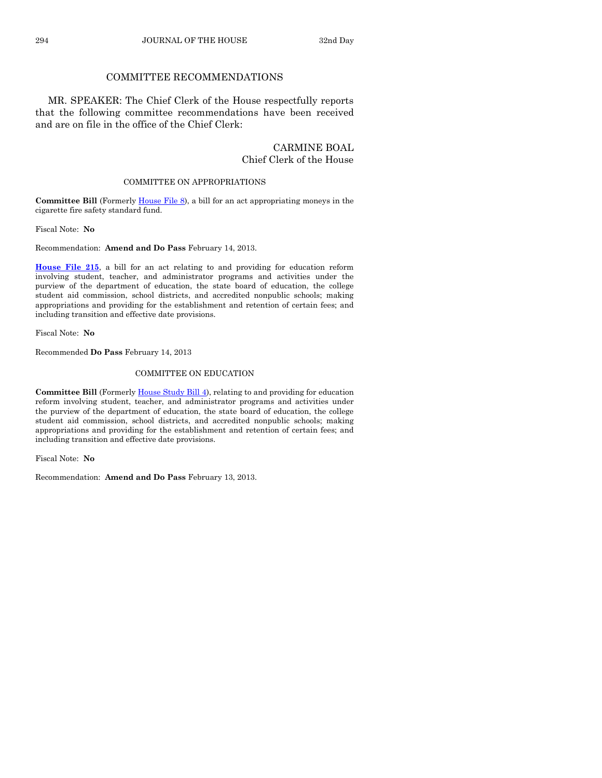# COMMITTEE RECOMMENDATIONS

MR. SPEAKER: The Chief Clerk of the House respectfully reports that the following committee recommendations have been received and are on file in the office of the Chief Clerk:

# CARMINE BOAL Chief Clerk of the House

#### COMMITTEE ON APPROPRIATIONS

**Committee Bill** (Formerl[y House File 8\)](http://coolice.legis.state.ia.us/Cool-ICE/default.asp?Category=billinfo&Service=Billbook&frame=1&GA=85&hbill=HF8), a bill for an act appropriating moneys in the cigarette fire safety standard fund.

Fiscal Note: **No**

Recommendation: **Amend and Do Pass** February 14, 2013.

**[House File 215](http://coolice.legis.state.ia.us/Cool-ICE/default.asp?Category=billinfo&Service=Billbook&frame=1&GA=85&hbill=HF215)**, a bill for an act relating to and providing for education reform involving student, teacher, and administrator programs and activities under the purview of the department of education, the state board of education, the college student aid commission, school districts, and accredited nonpublic schools; making appropriations and providing for the establishment and retention of certain fees; and including transition and effective date provisions.

Fiscal Note: **No**

Recommended **Do Pass** February 14, 2013

#### COMMITTEE ON EDUCATION

**Committee Bill** (Formerl[y House Study Bill 4\)](http://coolice.legis.state.ia.us/Cool-ICE/default.asp?Category=billinfo&Service=Billbook&frame=1&GA=85&hbill=HSB4), relating to and providing for education reform involving student, teacher, and administrator programs and activities under the purview of the department of education, the state board of education, the college student aid commission, school districts, and accredited nonpublic schools; making appropriations and providing for the establishment and retention of certain fees; and including transition and effective date provisions.

Fiscal Note: **No**

Recommendation: **Amend and Do Pass** February 13, 2013.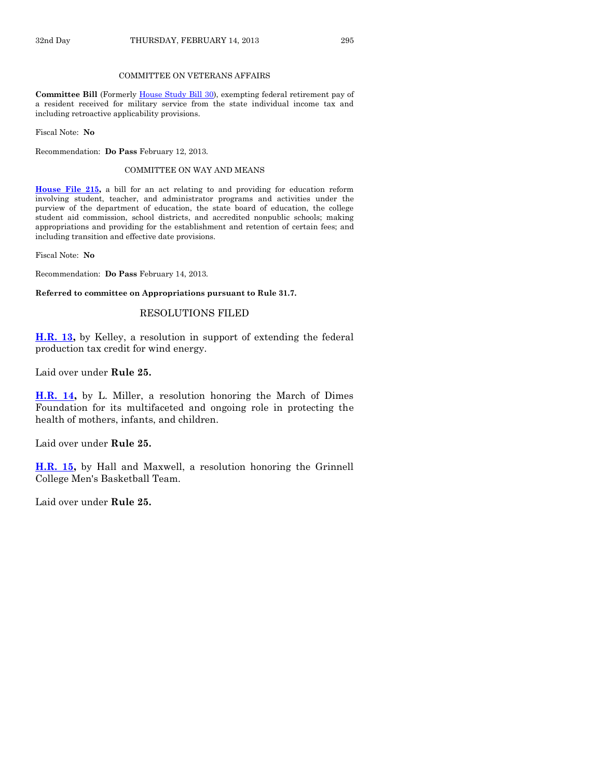#### COMMITTEE ON VETERANS AFFAIRS

**Committee Bill** (Formerly [House Study Bill 30\)](http://coolice.legis.state.ia.us/Cool-ICE/default.asp?Category=billinfo&Service=Billbook&frame=1&GA=85&hbill=HSB30), exempting federal retirement pay of a resident received for military service from the state individual income tax and including retroactive applicability provisions.

Fiscal Note: **No**

Recommendation: **Do Pass** February 12, 2013.

#### COMMITTEE ON WAY AND MEANS

**[House File 215,](http://coolice.legis.state.ia.us/Cool-ICE/default.asp?Category=billinfo&Service=Billbook&frame=1&GA=85&hbill=HF215)** a bill for an act relating to and providing for education reform involving student, teacher, and administrator programs and activities under the purview of the department of education, the state board of education, the college student aid commission, school districts, and accredited nonpublic schools; making appropriations and providing for the establishment and retention of certain fees; and including transition and effective date provisions.

Fiscal Note: **No**

Recommendation: **Do Pass** February 14, 2013.

**Referred to committee on Appropriations pursuant to Rule 31.7.**

#### RESOLUTIONS FILED

**[H.R. 13,](http://coolice.legis.state.ia.us/Cool-ICE/default.asp?Category=billinfo&Service=Billbook&frame=1&GA=85&hbill=HR13)** by Kelley, a resolution in support of extending the federal production tax credit for wind energy.

Laid over under **Rule 25.**

**[H.R. 14,](http://coolice.legis.state.ia.us/Cool-ICE/default.asp?Category=billinfo&Service=Billbook&frame=1&GA=85&hbill=HR14)** by L. Miller, a resolution honoring the March of Dimes Foundation for its multifaceted and ongoing role in protecting the health of mothers, infants, and children.

Laid over under **Rule 25.**

**[H.R. 15,](http://coolice.legis.state.ia.us/Cool-ICE/default.asp?Category=billinfo&Service=Billbook&frame=1&GA=85&hbill=HR15)** by Hall and Maxwell, a resolution honoring the Grinnell College Men's Basketball Team.

Laid over under **Rule 25.**